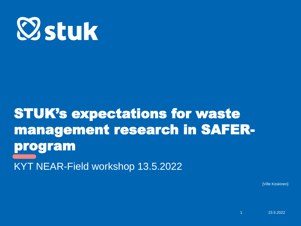

# STUK's expectations for waste management research in SAFERprogram KYT NEAR-Field workshop 13.5.2022

[Ville Koskinen]

23.5.2022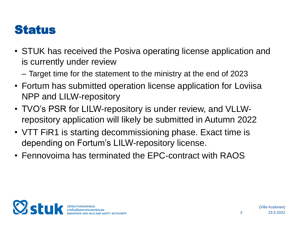#### **Status**

- STUK has received the Posiva operating license application and is currently under review
	- Target time for the statement to the ministry at the end of 2023
- Fortum has submitted operation license application for Loviisa NPP and LILW-repository
- TVO's PSR for LILW-repository is under review, and VLLWrepository application will likely be submitted in Autumn 2022
- VTT FIR1 is starting decommissioning phase. Exact time is depending on Fortum's LILW-repository license.
- Fennovoima has terminated the EPC-contract with RAOS



2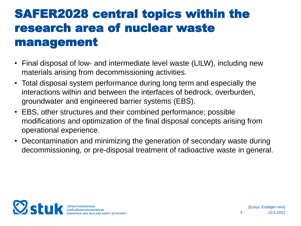### SAFER2028 central topics within the research area of nuclear waste management

- Final disposal of low- and intermediate level waste (LILW), including new materials arising from decommissioning activities.
- Total disposal system performance during long term and especially the interactions within and between the interfaces of bedrock, overburden, groundwater and engineered barrier systems (EBS).
- EBS, other structures and their combined performance; possible modifications and optimization of the final disposal concepts arising from operational experience.
- Decontamination and minimizing the generation of secondary waste during decommissioning, or pre-disposal treatment of radioactive waste in general.

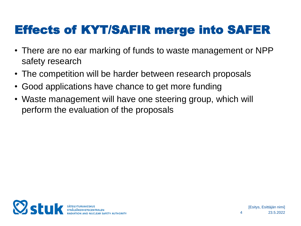## Effects of KYT/SAFIR merge into SAFER

- There are no ear marking of funds to waste management or NPP safety research
- The competition will be harder between research proposals
- Good applications have chance to get more funding
- Waste management will have one steering group, which will perform the evaluation of the proposals